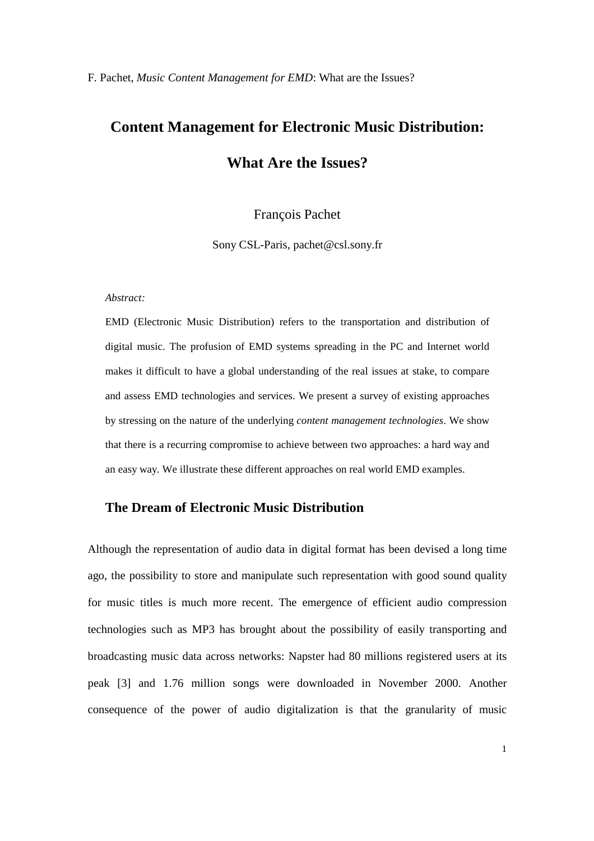# **Content Management for Electronic Music Distribution: What Are the Issues?**

# François Pachet

Sony CSL-Paris, pachet@csl.sony.fr

#### *Abstract:*

EMD (Electronic Music Distribution) refers to the transportation and distribution of digital music. The profusion of EMD systems spreading in the PC and Internet world makes it difficult to have a global understanding of the real issues at stake, to compare and assess EMD technologies and services. We present a survey of existing approaches by stressing on the nature of the underlying *content management technologies*. We show that there is a recurring compromise to achieve between two approaches: a hard way and an easy way. We illustrate these different approaches on real world EMD examples.

# **The Dream of Electronic Music Distribution**

Although the representation of audio data in digital format has been devised a long time ago, the possibility to store and manipulate such representation with good sound quality for music titles is much more recent. The emergence of efficient audio compression technologies such as MP3 has brought about the possibility of easily transporting and broadcasting music data across networks: Napster had 80 millions registered users at its peak [3] and 1.76 million songs were downloaded in November 2000. Another consequence of the power of audio digitalization is that the granularity of music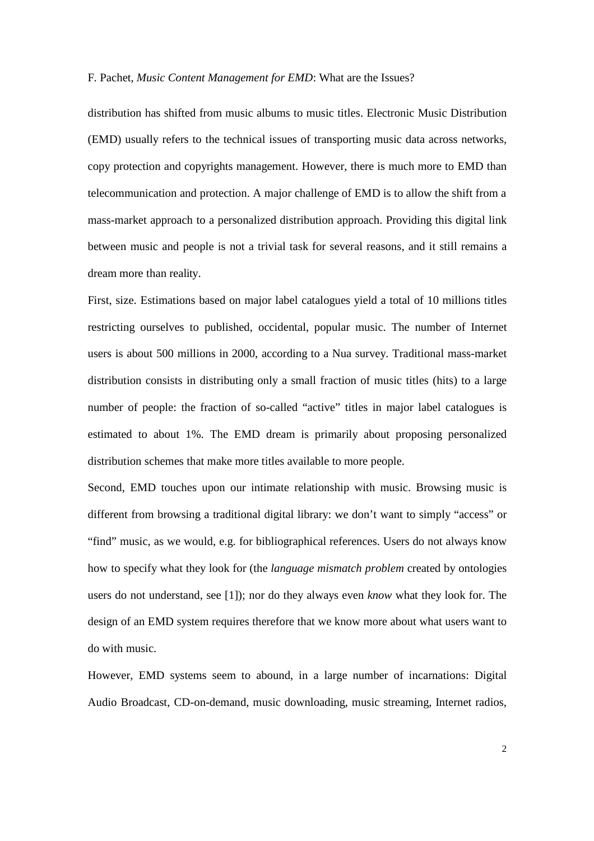distribution has shifted from music albums to music titles. Electronic Music Distribution (EMD) usually refers to the technical issues of transporting music data across networks, copy protection and copyrights management. However, there is much more to EMD than telecommunication and protection. A major challenge of EMD is to allow the shift from a mass-market approach to a personalized distribution approach. Providing this digital link between music and people is not a trivial task for several reasons, and it still remains a dream more than reality.

First, size. Estimations based on major label catalogues yield a total of 10 millions titles restricting ourselves to published, occidental, popular music. The number of Internet users is about 500 millions in 2000, according to a Nua survey. Traditional mass-market distribution consists in distributing only a small fraction of music titles (hits) to a large number of people: the fraction of so-called "active" titles in major label catalogues is estimated to about 1%. The EMD dream is primarily about proposing personalized distribution schemes that make more titles available to more people.

Second, EMD touches upon our intimate relationship with music. Browsing music is different from browsing a traditional digital library: we don't want to simply "access" or "find" music, as we would, e.g. for bibliographical references. Users do not always know how to specify what they look for (the *language mismatch problem* created by ontologies users do not understand, see [1]); nor do they always even *know* what they look for. The design of an EMD system requires therefore that we know more about what users want to do with music.

However, EMD systems seem to abound, in a large number of incarnations: Digital Audio Broadcast, CD-on-demand, music downloading, music streaming, Internet radios,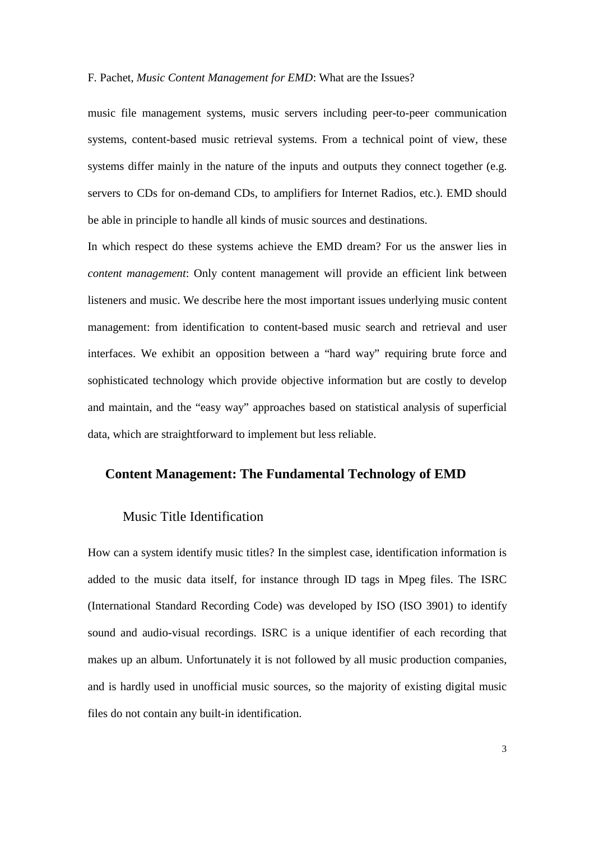music file management systems, music servers including peer-to-peer communication systems, content-based music retrieval systems. From a technical point of view, these systems differ mainly in the nature of the inputs and outputs they connect together (e.g. servers to CDs for on-demand CDs, to amplifiers for Internet Radios, etc.). EMD should be able in principle to handle all kinds of music sources and destinations.

In which respect do these systems achieve the EMD dream? For us the answer lies in *content management*: Only content management will provide an efficient link between listeners and music. We describe here the most important issues underlying music content management: from identification to content-based music search and retrieval and user interfaces. We exhibit an opposition between a "hard way" requiring brute force and sophisticated technology which provide objective information but are costly to develop and maintain, and the "easy way" approaches based on statistical analysis of superficial data, which are straightforward to implement but less reliable.

## **Content Management: The Fundamental Technology of EMD**

## Music Title Identification

How can a system identify music titles? In the simplest case, identification information is added to the music data itself, for instance through ID tags in Mpeg files. The ISRC (International Standard Recording Code) was developed by ISO (ISO 3901) to identify sound and audio-visual recordings. ISRC is a unique identifier of each recording that makes up an album. Unfortunately it is not followed by all music production companies, and is hardly used in unofficial music sources, so the majority of existing digital music files do not contain any built-in identification.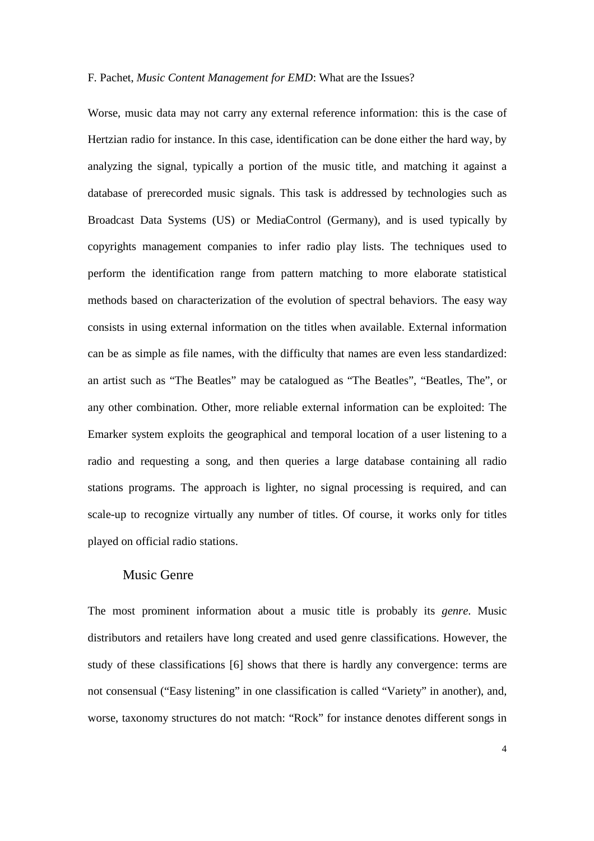Worse, music data may not carry any external reference information: this is the case of Hertzian radio for instance. In this case, identification can be done either the hard way, by analyzing the signal, typically a portion of the music title, and matching it against a database of prerecorded music signals. This task is addressed by technologies such as Broadcast Data Systems (US) or MediaControl (Germany), and is used typically by copyrights management companies to infer radio play lists. The techniques used to perform the identification range from pattern matching to more elaborate statistical methods based on characterization of the evolution of spectral behaviors. The easy way consists in using external information on the titles when available. External information can be as simple as file names, with the difficulty that names are even less standardized: an artist such as "The Beatles" may be catalogued as "The Beatles", "Beatles, The", or any other combination. Other, more reliable external information can be exploited: The Emarker system exploits the geographical and temporal location of a user listening to a radio and requesting a song, and then queries a large database containing all radio stations programs. The approach is lighter, no signal processing is required, and can scale-up to recognize virtually any number of titles. Of course, it works only for titles played on official radio stations.

## Music Genre

The most prominent information about a music title is probably its *genre*. Music distributors and retailers have long created and used genre classifications. However, the study of these classifications [6] shows that there is hardly any convergence: terms are not consensual ("Easy listening" in one classification is called "Variety" in another), and, worse, taxonomy structures do not match: "Rock" for instance denotes different songs in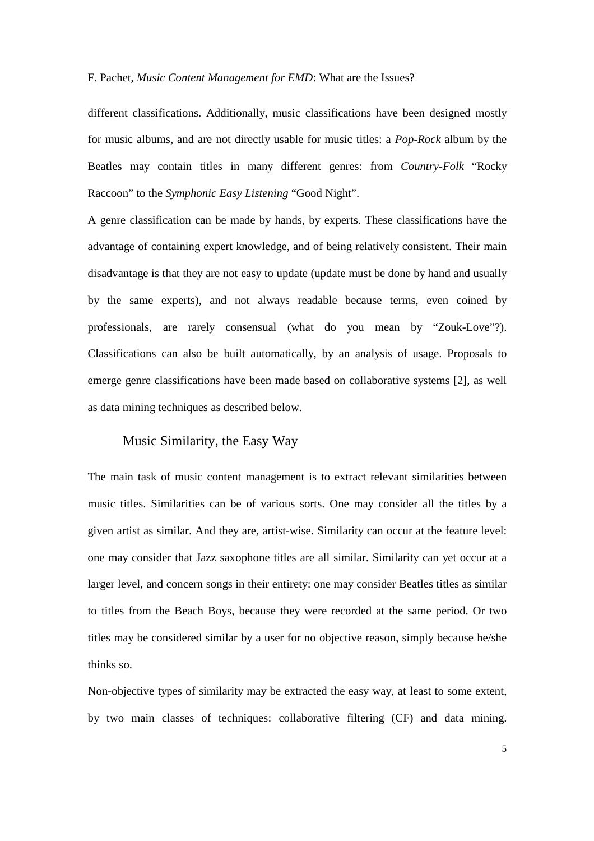different classifications. Additionally, music classifications have been designed mostly for music albums, and are not directly usable for music titles: a *Pop-Rock* album by the Beatles may contain titles in many different genres: from *Country-Folk* "Rocky Raccoon" to the *Symphonic Easy Listening* "Good Night".

A genre classification can be made by hands, by experts. These classifications have the advantage of containing expert knowledge, and of being relatively consistent. Their main disadvantage is that they are not easy to update (update must be done by hand and usually by the same experts), and not always readable because terms, even coined by professionals, are rarely consensual (what do you mean by "Zouk-Love"?). Classifications can also be built automatically, by an analysis of usage. Proposals to emerge genre classifications have been made based on collaborative systems [2], as well as data mining techniques as described below.

# Music Similarity, the Easy Way

The main task of music content management is to extract relevant similarities between music titles. Similarities can be of various sorts. One may consider all the titles by a given artist as similar. And they are, artist-wise. Similarity can occur at the feature level: one may consider that Jazz saxophone titles are all similar. Similarity can yet occur at a larger level, and concern songs in their entirety: one may consider Beatles titles as similar to titles from the Beach Boys, because they were recorded at the same period. Or two titles may be considered similar by a user for no objective reason, simply because he/she thinks so.

Non-objective types of similarity may be extracted the easy way, at least to some extent, by two main classes of techniques: collaborative filtering (CF) and data mining.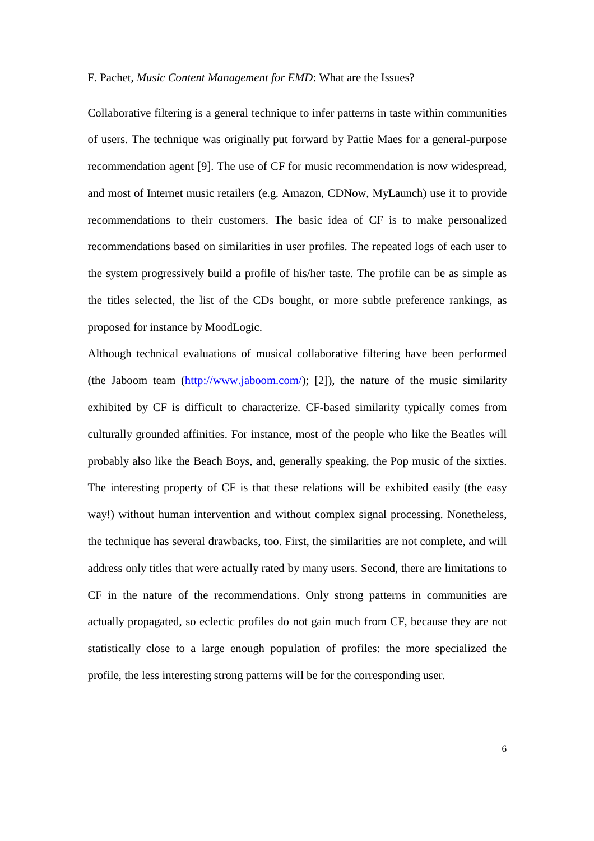Collaborative filtering is a general technique to infer patterns in taste within communities of users. The technique was originally put forward by Pattie Maes for a general-purpose recommendation agent [9]. The use of CF for music recommendation is now widespread, and most of Internet music retailers (e.g. Amazon, CDNow, MyLaunch) use it to provide recommendations to their customers. The basic idea of CF is to make personalized recommendations based on similarities in user profiles. The repeated logs of each user to the system progressively build a profile of his/her taste. The profile can be as simple as the titles selected, the list of the CDs bought, or more subtle preference rankings, as proposed for instance by MoodLogic.

Although technical evaluations of musical collaborative filtering have been performed (the Jaboom team  $(\frac{http://www.jaboom.com/}{?})$ ; [2]), the nature of the music similarity exhibited by CF is difficult to characterize. CF-based similarity typically comes from culturally grounded affinities. For instance, most of the people who like the Beatles will probably also like the Beach Boys, and, generally speaking, the Pop music of the sixties. The interesting property of CF is that these relations will be exhibited easily (the easy way!) without human intervention and without complex signal processing. Nonetheless, the technique has several drawbacks, too. First, the similarities are not complete, and will address only titles that were actually rated by many users. Second, there are limitations to CF in the nature of the recommendations. Only strong patterns in communities are actually propagated, so eclectic profiles do not gain much from CF, because they are not statistically close to a large enough population of profiles: the more specialized the profile, the less interesting strong patterns will be for the corresponding user.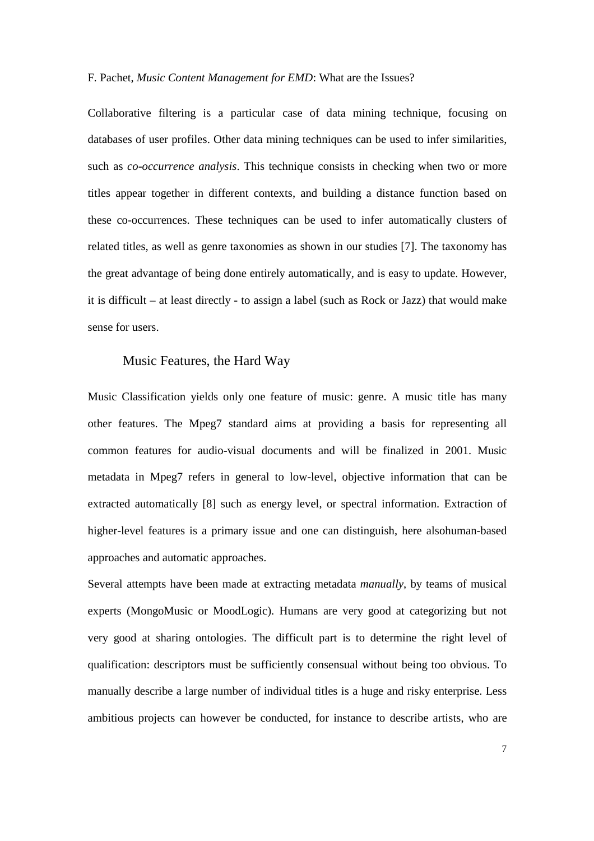Collaborative filtering is a particular case of data mining technique, focusing on databases of user profiles. Other data mining techniques can be used to infer similarities, such as *co-occurrence analysis*. This technique consists in checking when two or more titles appear together in different contexts, and building a distance function based on these co-occurrences. These techniques can be used to infer automatically clusters of related titles, as well as genre taxonomies as shown in our studies [7]. The taxonomy has the great advantage of being done entirely automatically, and is easy to update. However, it is difficult – at least directly - to assign a label (such as Rock or Jazz) that would make sense for users.

#### Music Features, the Hard Way

Music Classification yields only one feature of music: genre. A music title has many other features. The Mpeg7 standard aims at providing a basis for representing all common features for audio-visual documents and will be finalized in 2001. Music metadata in Mpeg7 refers in general to low-level, objective information that can be extracted automatically [8] such as energy level, or spectral information. Extraction of higher-level features is a primary issue and one can distinguish, here alsohuman-based approaches and automatic approaches.

Several attempts have been made at extracting metadata *manually*, by teams of musical experts (MongoMusic or MoodLogic). Humans are very good at categorizing but not very good at sharing ontologies. The difficult part is to determine the right level of qualification: descriptors must be sufficiently consensual without being too obvious. To manually describe a large number of individual titles is a huge and risky enterprise. Less ambitious projects can however be conducted, for instance to describe artists, who are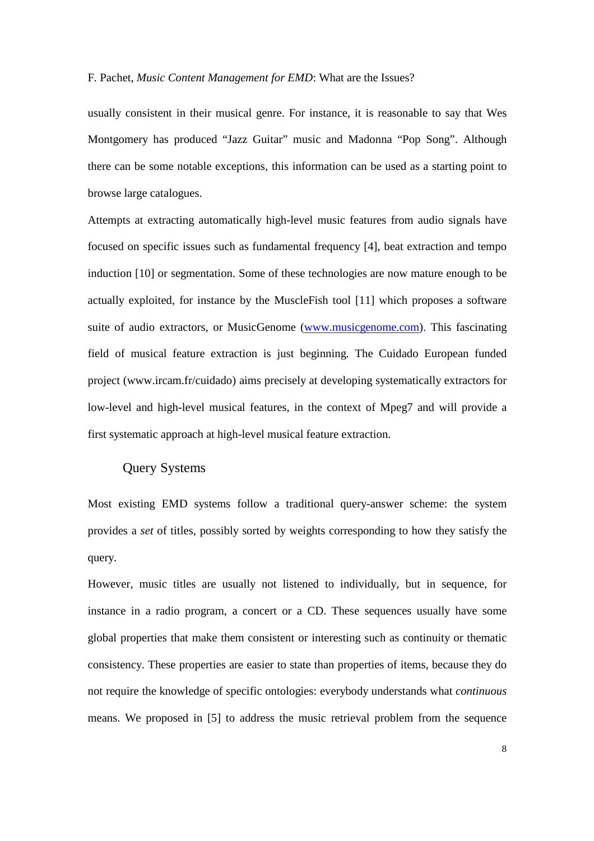usually consistent in their musical genre. For instance, it is reasonable to say that Wes Montgomery has produced "Jazz Guitar" music and Madonna "Pop Song". Although there can be some notable exceptions, this information can be used as a starting point to browse large catalogues.

Attempts at extracting automatically high-level music features from audio signals have focused on specific issues such as fundamental frequency [4], beat extraction and tempo induction [10] or segmentation. Some of these technologies are now mature enough to be actually exploited, for instance by the MuscleFish tool [11] which proposes a software suite of audio extractors, or MusicGenome (www.musicgenome.com). This fascinating field of musical feature extraction is just beginning. The Cuidado European funded project (www.ircam.fr/cuidado) aims precisely at developing systematically extractors for low-level and high-level musical features, in the context of Mpeg7 and will provide a first systematic approach at high-level musical feature extraction.

# Query Systems

Most existing EMD systems follow a traditional query-answer scheme: the system provides a *set* of titles, possibly sorted by weights corresponding to how they satisfy the query.

However, music titles are usually not listened to individually, but in sequence, for instance in a radio program, a concert or a CD. These sequences usually have some global properties that make them consistent or interesting such as continuity or thematic consistency. These properties are easier to state than properties of items, because they do not require the knowledge of specific ontologies: everybody understands what *continuous* means. We proposed in [5] to address the music retrieval problem from the sequence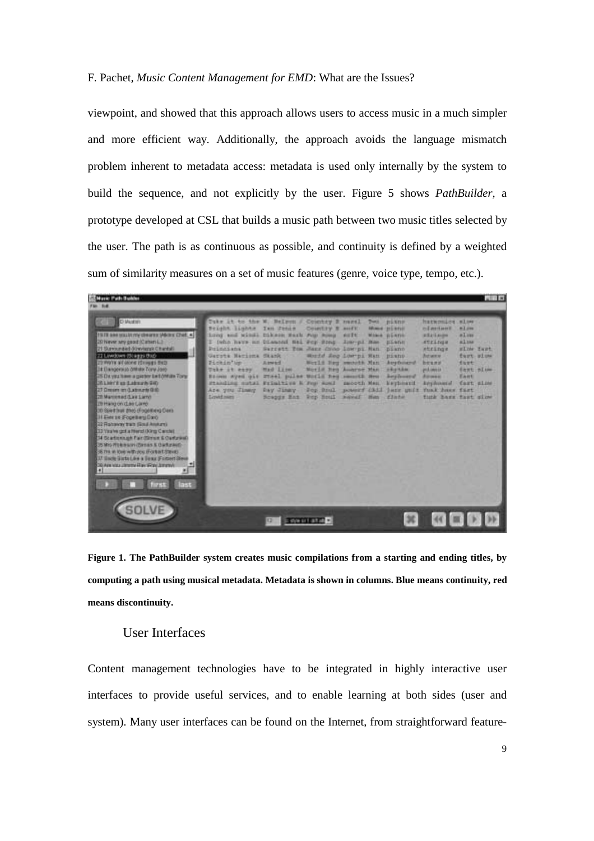viewpoint, and showed that this approach allows users to access music in a much simpler and more efficient way. Additionally, the approach avoids the language mismatch problem inherent to metadata access: metadata is used only internally by the system to build the sequence, and not explicitly by the user. Figure 5 shows *PathBuilder,* a prototype developed at CSL that builds a music path between two music titles selected by the user. The path is as continuous as possible, and continuity is defined by a weighted sum of similarity measures on a set of music features (genre, voice type, tempo, etc.).

| <b>ST Mark: Path Builder</b><br>FM Sig                                                                                                                                                                                                                                                                                                                                                                                                                                                                                                                                                                                                                                                                                                                                                 |                                                                                                                                                                                                                                                                                                                                                                           |                                                                                   |                                                                                                                           |       |                                                                                                                                                                                   |                                                                                                                                                                                                                                           |                                                                                         | $-118$ |
|----------------------------------------------------------------------------------------------------------------------------------------------------------------------------------------------------------------------------------------------------------------------------------------------------------------------------------------------------------------------------------------------------------------------------------------------------------------------------------------------------------------------------------------------------------------------------------------------------------------------------------------------------------------------------------------------------------------------------------------------------------------------------------------|---------------------------------------------------------------------------------------------------------------------------------------------------------------------------------------------------------------------------------------------------------------------------------------------------------------------------------------------------------------------------|-----------------------------------------------------------------------------------|---------------------------------------------------------------------------------------------------------------------------|-------|-----------------------------------------------------------------------------------------------------------------------------------------------------------------------------------|-------------------------------------------------------------------------------------------------------------------------------------------------------------------------------------------------------------------------------------------|-----------------------------------------------------------------------------------------|--------|
| <b>D</b> Mastern<br>15 III am study my desires (About Chief, 4)<br>20 Never any people Carlery L.B.<br>21 Survivinged downings Chardali<br>22 Lewdown (Steggs Bud)<br>23 WWW art done (Synges BV3)<br>In Elengersup officer Tory Jorg<br>25 De you have a gaster lied (ritues Tory)<br>26 Listrick as Labourn Gill<br>27 Dream im Guideante Gilli<br>20 Marcenad G. av Larry<br>TB Hang on class Lamp.<br>30 Blood State (the) (Frightheng Class<br>Il Eins se Fogethers Davo<br>22 Reterry two Goul-Andures<br>13 Yara'wa gorl a Heard (King Carchi)<br>34 Scartismush Fair (Simon & Oartzwell)<br>35 Mid-Pitchmann (Barnas & Oarllywork)<br>36 TH # IOH with you if orbart (three)<br>37 linck lists Lies a Texa Forcert Steve<br>30 Apr visa circums Hay Were Jersen A<br>判<br>last | Cutr it to the W. Belmon F. Country 2 mont1<br>Deaght Linhts Isn Johns<br>tong and sinds tikeen said run song soft<br>I leho have an biasand fiat way wong Jim-pl mee-<br>Poincient.<br>Gerota Hamisna Stank (1999)<br>Fickin'up<br>Tike at easy.<br>Elimon wyed oil Stael pulse World hed second Hea<br>Planding sutai Printtive & For April<br>Are you Timey<br>Lowdown | Sarrett Tom Jame Crop Low pr Man<br>Asset<br>Had Line.<br>Bay Jinky<br>Scapus Baz | COMERY # ANTE<br>World Zeo Low-pi Han piano.<br>World Ney sworth Man<br>Moris Hen August Man<br>Pop Hotal sever Hen finds | Dott. | <b>pixns</b><br>Mission and Millers and<br><b>Mine plans</b><br><b>ELANE</b><br><b>Diamo</b><br><b>Australia</b><br><b>HAPTAM</b><br><b>Beylessed</b><br>salooth Mass. Marphesont | harmoning also<br><b>Indiana B</b><br><b>ASASAN</b><br>strings<br>strings.<br><b>Between 17</b><br>bears."<br>producements 11<br>Access in<br>Anyhound Cast sizes<br>For Soul powerf Chil jury unit funk have fast<br>tunk have fast size | million.<br>a Lux<br>alms<br><b>WING Tage</b><br>furt sime<br>dust<br>dawn simm<br>East |        |
|                                                                                                                                                                                                                                                                                                                                                                                                                                                                                                                                                                                                                                                                                                                                                                                        |                                                                                                                                                                                                                                                                                                                                                                           |                                                                                   | down it is tuned                                                                                                          |       |                                                                                                                                                                                   |                                                                                                                                                                                                                                           |                                                                                         |        |

**Figure 1. The PathBuilder system creates music compilations from a starting and ending titles, by computing a path using musical metadata. Metadata is shown in columns. Blue means continuity, red means discontinuity.** 

# User Interfaces

Content management technologies have to be integrated in highly interactive user interfaces to provide useful services, and to enable learning at both sides (user and system). Many user interfaces can be found on the Internet, from straightforward feature-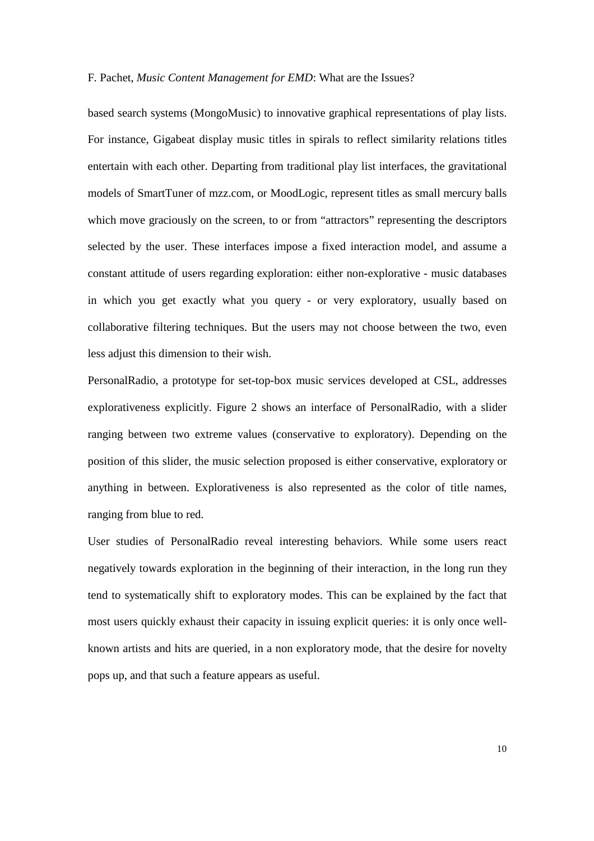based search systems (MongoMusic) to innovative graphical representations of play lists. For instance, Gigabeat display music titles in spirals to reflect similarity relations titles entertain with each other. Departing from traditional play list interfaces, the gravitational models of SmartTuner of mzz.com, or MoodLogic, represent titles as small mercury balls which move graciously on the screen, to or from "attractors" representing the descriptors selected by the user. These interfaces impose a fixed interaction model, and assume a constant attitude of users regarding exploration: either non-explorative - music databases in which you get exactly what you query - or very exploratory, usually based on collaborative filtering techniques. But the users may not choose between the two, even less adjust this dimension to their wish.

PersonalRadio, a prototype for set-top-box music services developed at CSL, addresses explorativeness explicitly. Figure 2 shows an interface of PersonalRadio, with a slider ranging between two extreme values (conservative to exploratory). Depending on the position of this slider, the music selection proposed is either conservative, exploratory or anything in between. Explorativeness is also represented as the color of title names, ranging from blue to red.

User studies of PersonalRadio reveal interesting behaviors. While some users react negatively towards exploration in the beginning of their interaction, in the long run they tend to systematically shift to exploratory modes. This can be explained by the fact that most users quickly exhaust their capacity in issuing explicit queries: it is only once wellknown artists and hits are queried, in a non exploratory mode, that the desire for novelty pops up, and that such a feature appears as useful.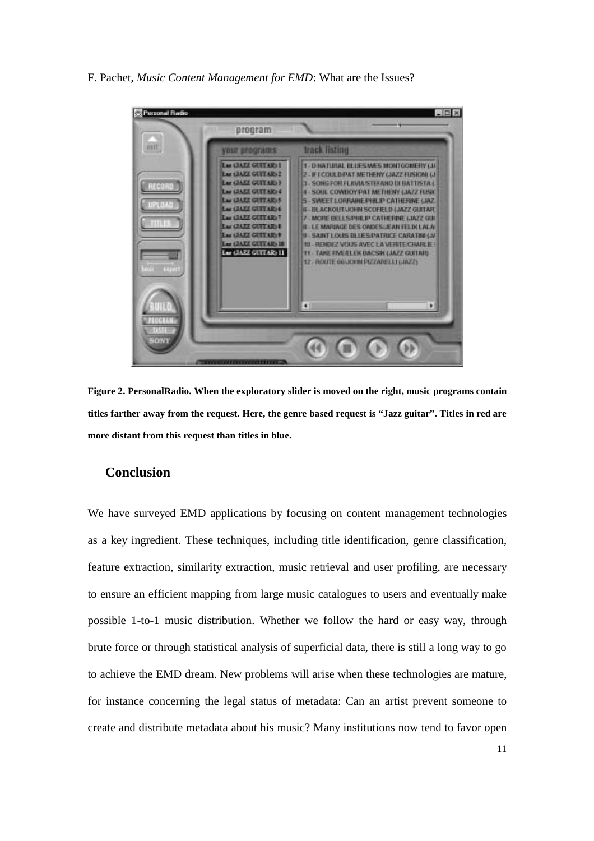

**Figure 2. PersonalRadio. When the exploratory slider is moved on the right, music programs contain titles farther away from the request. Here, the genre based request is "Jazz guitar". Titles in red are more distant from this request than titles in blue.** 

# **Conclusion**

We have surveyed EMD applications by focusing on content management technologies as a key ingredient. These techniques, including title identification, genre classification, feature extraction, similarity extraction, music retrieval and user profiling, are necessary to ensure an efficient mapping from large music catalogues to users and eventually make possible 1-to-1 music distribution. Whether we follow the hard or easy way, through brute force or through statistical analysis of superficial data, there is still a long way to go to achieve the EMD dream. New problems will arise when these technologies are mature, for instance concerning the legal status of metadata: Can an artist prevent someone to create and distribute metadata about his music? Many institutions now tend to favor open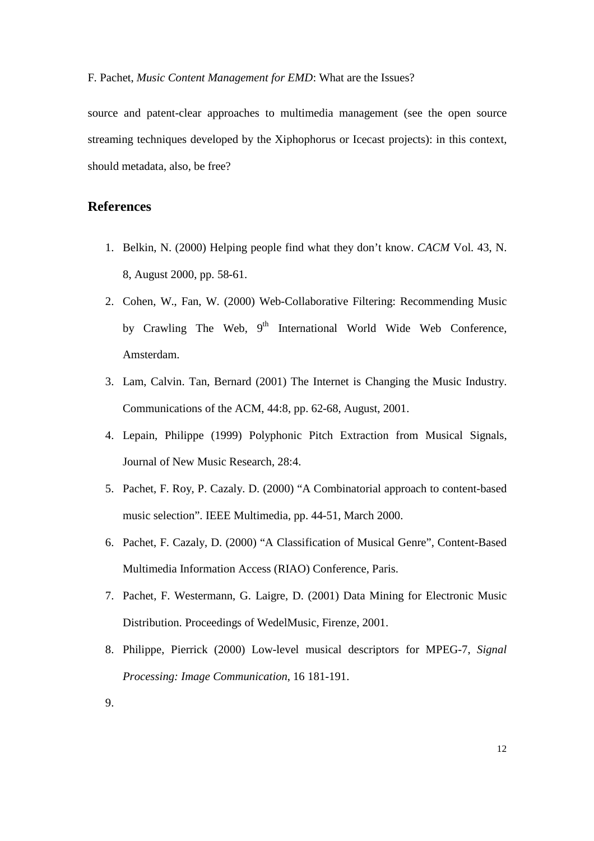source and patent-clear approaches to multimedia management (see the open source streaming techniques developed by the Xiphophorus or Icecast projects): in this context, should metadata, also, be free?

# **References**

- 1. Belkin, N. (2000) Helping people find what they don't know. *CACM* Vol. 43, N. 8, August 2000, pp. 58-61.
- 2. Cohen, W., Fan, W. (2000) Web-Collaborative Filtering: Recommending Music by Crawling The Web, 9<sup>th</sup> International World Wide Web Conference, Amsterdam.
- 3. Lam, Calvin. Tan, Bernard (2001) The Internet is Changing the Music Industry. Communications of the ACM, 44:8, pp. 62-68, August, 2001.
- 4. Lepain, Philippe (1999) Polyphonic Pitch Extraction from Musical Signals, Journal of New Music Research, 28:4.
- 5. Pachet, F. Roy, P. Cazaly. D. (2000) "A Combinatorial approach to content-based music selection". IEEE Multimedia, pp. 44-51, March 2000.
- 6. Pachet, F. Cazaly, D. (2000) "A Classification of Musical Genre", Content-Based Multimedia Information Access (RIAO) Conference, Paris.
- 7. Pachet, F. Westermann, G. Laigre, D. (2001) Data Mining for Electronic Music Distribution. Proceedings of WedelMusic, Firenze, 2001.
- 8. Philippe, Pierrick (2000) Low-level musical descriptors for MPEG-7, *Signal Processing: Image Communication*, 16 181-191.
- 9.